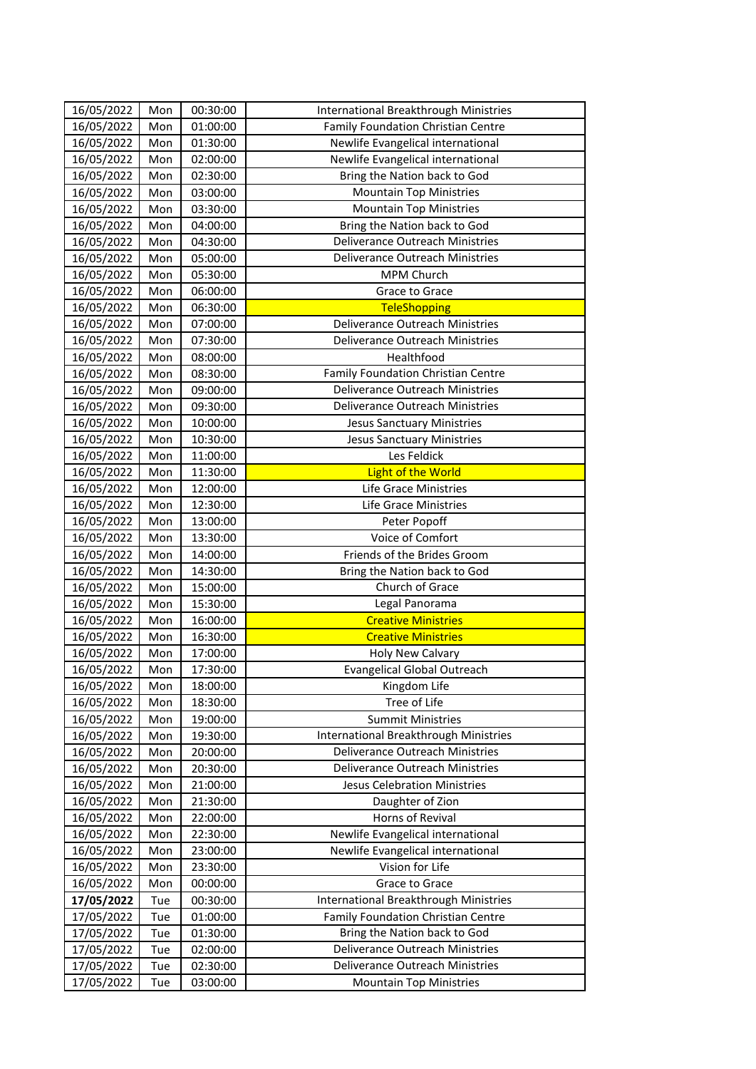| 16/05/2022 | Mon | 00:30:00 | International Breakthrough Ministries |
|------------|-----|----------|---------------------------------------|
| 16/05/2022 | Mon | 01:00:00 | Family Foundation Christian Centre    |
| 16/05/2022 | Mon | 01:30:00 | Newlife Evangelical international     |
| 16/05/2022 | Mon | 02:00:00 | Newlife Evangelical international     |
| 16/05/2022 | Mon | 02:30:00 | Bring the Nation back to God          |
| 16/05/2022 | Mon | 03:00:00 | <b>Mountain Top Ministries</b>        |
| 16/05/2022 | Mon | 03:30:00 | <b>Mountain Top Ministries</b>        |
| 16/05/2022 | Mon | 04:00:00 | Bring the Nation back to God          |
| 16/05/2022 | Mon | 04:30:00 | Deliverance Outreach Ministries       |
| 16/05/2022 | Mon | 05:00:00 | Deliverance Outreach Ministries       |
| 16/05/2022 | Mon | 05:30:00 | <b>MPM Church</b>                     |
| 16/05/2022 | Mon | 06:00:00 | Grace to Grace                        |
| 16/05/2022 | Mon | 06:30:00 | <b>TeleShopping</b>                   |
| 16/05/2022 | Mon | 07:00:00 | Deliverance Outreach Ministries       |
| 16/05/2022 | Mon | 07:30:00 | Deliverance Outreach Ministries       |
| 16/05/2022 | Mon | 08:00:00 | Healthfood                            |
| 16/05/2022 | Mon | 08:30:00 | Family Foundation Christian Centre    |
| 16/05/2022 | Mon | 09:00:00 | Deliverance Outreach Ministries       |
| 16/05/2022 | Mon | 09:30:00 | Deliverance Outreach Ministries       |
| 16/05/2022 | Mon | 10:00:00 | <b>Jesus Sanctuary Ministries</b>     |
| 16/05/2022 | Mon | 10:30:00 | <b>Jesus Sanctuary Ministries</b>     |
| 16/05/2022 | Mon | 11:00:00 | Les Feldick                           |
| 16/05/2022 | Mon | 11:30:00 | <b>Light of the World</b>             |
| 16/05/2022 | Mon | 12:00:00 | Life Grace Ministries                 |
| 16/05/2022 | Mon | 12:30:00 | Life Grace Ministries                 |
| 16/05/2022 | Mon | 13:00:00 | Peter Popoff                          |
| 16/05/2022 | Mon | 13:30:00 | Voice of Comfort                      |
| 16/05/2022 | Mon | 14:00:00 | Friends of the Brides Groom           |
| 16/05/2022 | Mon | 14:30:00 | Bring the Nation back to God          |
| 16/05/2022 | Mon | 15:00:00 | Church of Grace                       |
| 16/05/2022 | Mon | 15:30:00 | Legal Panorama                        |
| 16/05/2022 | Mon | 16:00:00 | <b>Creative Ministries</b>            |
| 16/05/2022 | Mon | 16:30:00 | <b>Creative Ministries</b>            |
| 16/05/2022 | Mon | 17:00:00 | Holy New Calvary                      |
| 16/05/2022 | Mon | 17:30:00 | <b>Evangelical Global Outreach</b>    |
| 16/05/2022 | Mon | 18:00:00 | Kingdom Life                          |
| 16/05/2022 | Mon | 18:30:00 | Tree of Life                          |
| 16/05/2022 | Mon | 19:00:00 | <b>Summit Ministries</b>              |
| 16/05/2022 | Mon | 19:30:00 | International Breakthrough Ministries |
| 16/05/2022 | Mon | 20:00:00 | Deliverance Outreach Ministries       |
| 16/05/2022 | Mon | 20:30:00 | Deliverance Outreach Ministries       |
| 16/05/2022 | Mon | 21:00:00 | Jesus Celebration Ministries          |
| 16/05/2022 | Mon | 21:30:00 | Daughter of Zion                      |
| 16/05/2022 | Mon | 22:00:00 | Horns of Revival                      |
| 16/05/2022 | Mon | 22:30:00 | Newlife Evangelical international     |
| 16/05/2022 | Mon | 23:00:00 | Newlife Evangelical international     |
| 16/05/2022 | Mon | 23:30:00 | Vision for Life                       |
| 16/05/2022 | Mon | 00:00:00 | Grace to Grace                        |
| 17/05/2022 | Tue | 00:30:00 | International Breakthrough Ministries |
| 17/05/2022 | Tue | 01:00:00 | Family Foundation Christian Centre    |
| 17/05/2022 | Tue | 01:30:00 | Bring the Nation back to God          |
| 17/05/2022 | Tue | 02:00:00 | Deliverance Outreach Ministries       |
| 17/05/2022 | Tue | 02:30:00 | Deliverance Outreach Ministries       |
| 17/05/2022 | Tue | 03:00:00 | <b>Mountain Top Ministries</b>        |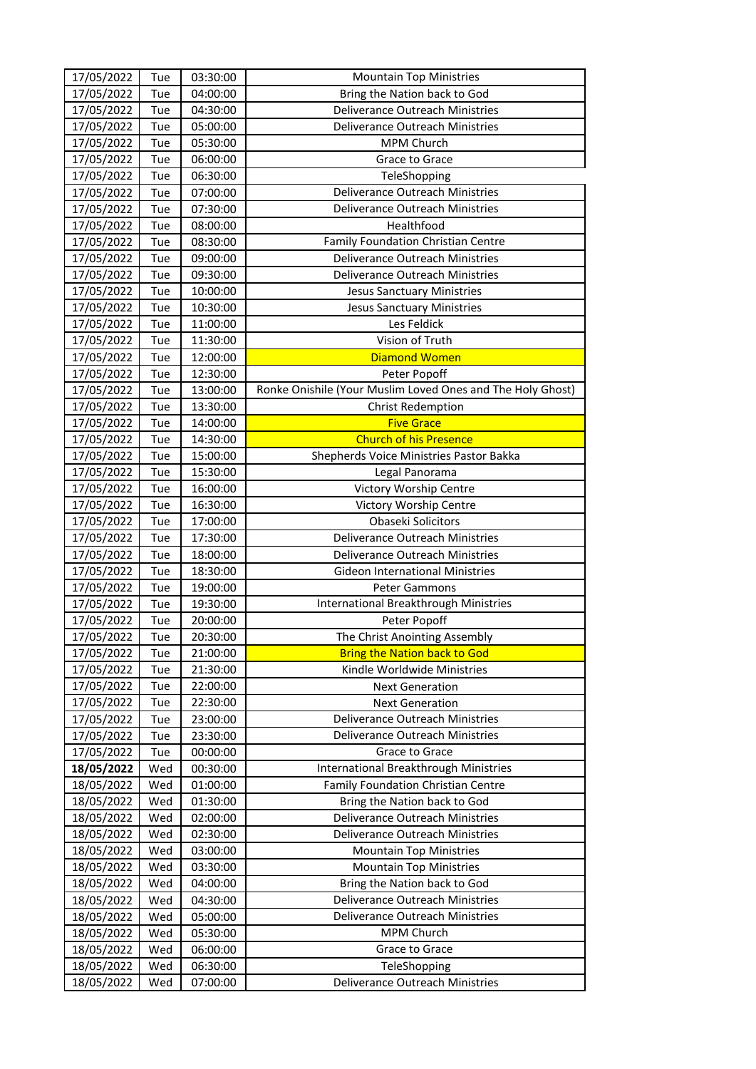| 17/05/2022<br>Tue<br>03:30:00<br><b>Mountain Top Ministries</b>                             |  |
|---------------------------------------------------------------------------------------------|--|
| 17/05/2022<br>04:00:00<br>Tue<br>Bring the Nation back to God                               |  |
| 17/05/2022<br>Tue<br>04:30:00<br><b>Deliverance Outreach Ministries</b>                     |  |
| Deliverance Outreach Ministries<br>17/05/2022<br>Tue<br>05:00:00                            |  |
| 17/05/2022<br>Tue<br>05:30:00<br>MPM Church                                                 |  |
| 17/05/2022<br>Tue<br>06:00:00<br>Grace to Grace                                             |  |
| 17/05/2022<br>06:30:00<br>Tue<br>TeleShopping                                               |  |
| 17/05/2022<br>07:00:00<br><b>Deliverance Outreach Ministries</b><br>Tue                     |  |
| Tue<br>Deliverance Outreach Ministries<br>17/05/2022<br>07:30:00                            |  |
| Healthfood<br>17/05/2022<br>Tue<br>08:00:00                                                 |  |
| Family Foundation Christian Centre<br>17/05/2022<br>08:30:00<br>Tue                         |  |
| 17/05/2022<br>Tue<br>09:00:00<br>Deliverance Outreach Ministries                            |  |
| 17/05/2022<br>Tue<br>09:30:00<br>Deliverance Outreach Ministries                            |  |
| 17/05/2022<br>10:00:00<br>Tue<br><b>Jesus Sanctuary Ministries</b>                          |  |
| 17/05/2022<br>Tue<br>10:30:00<br><b>Jesus Sanctuary Ministries</b>                          |  |
| Les Feldick<br>11:00:00<br>17/05/2022<br>Tue                                                |  |
| Vision of Truth<br>17/05/2022<br>Tue<br>11:30:00                                            |  |
| 17/05/2022<br>Tue<br><b>Diamond Women</b><br>12:00:00                                       |  |
| 17/05/2022<br>Tue<br>12:30:00<br>Peter Popoff                                               |  |
| 17/05/2022<br>13:00:00<br>Ronke Onishile (Your Muslim Loved Ones and The Holy Ghost)<br>Tue |  |
| 17/05/2022<br>Tue<br>13:30:00<br><b>Christ Redemption</b>                                   |  |
| Tue<br>17/05/2022<br>14:00:00<br><b>Five Grace</b>                                          |  |
| <b>Church of his Presence</b><br>17/05/2022<br>Tue<br>14:30:00                              |  |
| 17/05/2022<br>Tue<br>15:00:00<br>Shepherds Voice Ministries Pastor Bakka                    |  |
| 17/05/2022<br>Tue<br>15:30:00<br>Legal Panorama                                             |  |
| 17/05/2022<br>Tue<br>16:00:00<br>Victory Worship Centre                                     |  |
| 17/05/2022<br>Tue<br>16:30:00<br>Victory Worship Centre                                     |  |
| Tue<br>17/05/2022<br>17:00:00<br>Obaseki Solicitors                                         |  |
| 17/05/2022<br>Tue<br>17:30:00<br>Deliverance Outreach Ministries                            |  |
| 17/05/2022<br>Tue<br>18:00:00<br>Deliverance Outreach Ministries                            |  |
| 17/05/2022<br>Tue<br>18:30:00<br><b>Gideon International Ministries</b>                     |  |
| 17/05/2022<br>Tue<br>19:00:00<br><b>Peter Gammons</b>                                       |  |
| International Breakthrough Ministries<br>17/05/2022<br>Tue<br>19:30:00                      |  |
| 17/05/2022<br>Tue<br>20:00:00<br>Peter Popoff                                               |  |
| 17/05/2022<br>Tue<br>20:30:00<br>The Christ Anointing Assembly                              |  |
| 17/05/2022<br><b>Bring the Nation back to God</b><br>Tue<br>21:00:00                        |  |
| 17/05/2022<br>Kindle Worldwide Ministries<br>Tue<br>21:30:00                                |  |
| 17/05/2022<br>Tue<br>22:00:00<br><b>Next Generation</b>                                     |  |
| 17/05/2022<br>Tue<br>22:30:00<br><b>Next Generation</b>                                     |  |
| 17/05/2022<br>Tue<br>Deliverance Outreach Ministries<br>23:00:00                            |  |
| 17/05/2022<br>23:30:00<br>Tue<br>Deliverance Outreach Ministries                            |  |
| 17/05/2022<br>Grace to Grace<br>Tue<br>00:00:00                                             |  |
| International Breakthrough Ministries<br>18/05/2022<br>Wed<br>00:30:00                      |  |
| 18/05/2022<br>Wed<br>01:00:00<br>Family Foundation Christian Centre                         |  |
| 18/05/2022<br>Wed<br>01:30:00<br>Bring the Nation back to God                               |  |
| 18/05/2022<br>Wed<br>Deliverance Outreach Ministries<br>02:00:00                            |  |
| Deliverance Outreach Ministries<br>18/05/2022<br>Wed<br>02:30:00                            |  |
| 18/05/2022<br>Wed<br>03:00:00<br><b>Mountain Top Ministries</b>                             |  |
| 18/05/2022<br>Wed<br><b>Mountain Top Ministries</b><br>03:30:00                             |  |
| 18/05/2022<br>Wed<br>04:00:00<br>Bring the Nation back to God                               |  |
| 18/05/2022<br>Wed<br>04:30:00<br>Deliverance Outreach Ministries                            |  |
| 18/05/2022<br>Wed<br>Deliverance Outreach Ministries<br>05:00:00                            |  |
| 18/05/2022<br>Wed<br>MPM Church<br>05:30:00                                                 |  |
| 18/05/2022<br>Wed<br>Grace to Grace<br>06:00:00                                             |  |
| 18/05/2022<br>Wed<br>06:30:00<br>TeleShopping                                               |  |
| Deliverance Outreach Ministries<br>18/05/2022<br>07:00:00<br>Wed                            |  |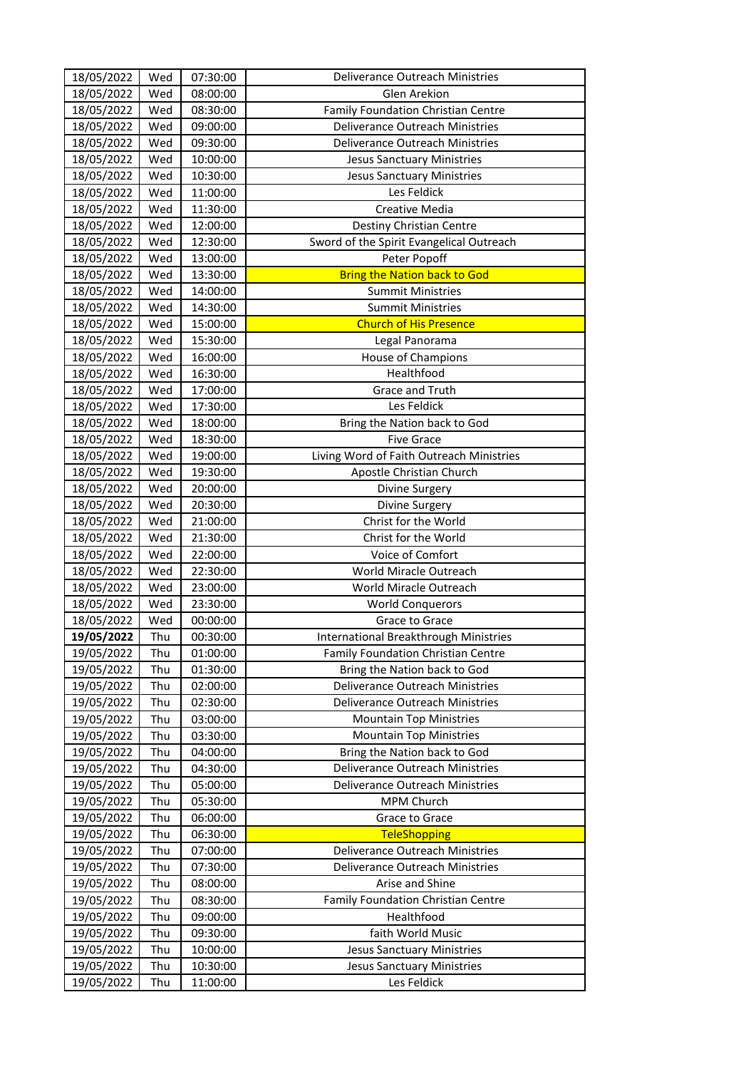| 18/05/2022 | Wed | 07:30:00 | Deliverance Outreach Ministries          |
|------------|-----|----------|------------------------------------------|
| 18/05/2022 | Wed | 08:00:00 | Glen Arekion                             |
| 18/05/2022 | Wed | 08:30:00 | Family Foundation Christian Centre       |
| 18/05/2022 | Wed | 09:00:00 | Deliverance Outreach Ministries          |
| 18/05/2022 | Wed | 09:30:00 | Deliverance Outreach Ministries          |
| 18/05/2022 | Wed | 10:00:00 | <b>Jesus Sanctuary Ministries</b>        |
| 18/05/2022 | Wed | 10:30:00 | <b>Jesus Sanctuary Ministries</b>        |
| 18/05/2022 | Wed | 11:00:00 | Les Feldick                              |
| 18/05/2022 | Wed | 11:30:00 | Creative Media                           |
| 18/05/2022 | Wed | 12:00:00 | Destiny Christian Centre                 |
| 18/05/2022 | Wed | 12:30:00 | Sword of the Spirit Evangelical Outreach |
| 18/05/2022 | Wed | 13:00:00 | Peter Popoff                             |
| 18/05/2022 | Wed | 13:30:00 | <b>Bring the Nation back to God</b>      |
| 18/05/2022 | Wed | 14:00:00 | <b>Summit Ministries</b>                 |
| 18/05/2022 | Wed | 14:30:00 | <b>Summit Ministries</b>                 |
| 18/05/2022 | Wed | 15:00:00 | <b>Church of His Presence</b>            |
| 18/05/2022 | Wed | 15:30:00 | Legal Panorama                           |
| 18/05/2022 | Wed | 16:00:00 | House of Champions                       |
| 18/05/2022 | Wed | 16:30:00 | Healthfood                               |
| 18/05/2022 | Wed | 17:00:00 | Grace and Truth                          |
| 18/05/2022 | Wed | 17:30:00 | Les Feldick                              |
| 18/05/2022 | Wed | 18:00:00 | Bring the Nation back to God             |
| 18/05/2022 | Wed | 18:30:00 | <b>Five Grace</b>                        |
| 18/05/2022 | Wed | 19:00:00 | Living Word of Faith Outreach Ministries |
| 18/05/2022 | Wed | 19:30:00 | Apostle Christian Church                 |
| 18/05/2022 | Wed | 20:00:00 | Divine Surgery                           |
| 18/05/2022 | Wed | 20:30:00 | Divine Surgery                           |
| 18/05/2022 | Wed | 21:00:00 | Christ for the World                     |
| 18/05/2022 | Wed | 21:30:00 | Christ for the World                     |
| 18/05/2022 | Wed | 22:00:00 | Voice of Comfort                         |
| 18/05/2022 | Wed | 22:30:00 | World Miracle Outreach                   |
| 18/05/2022 | Wed | 23:00:00 | World Miracle Outreach                   |
| 18/05/2022 | Wed | 23:30:00 | <b>World Conquerors</b>                  |
| 18/05/2022 | Wed | 00:00:00 | Grace to Grace                           |
| 19/05/2022 | Thu | 00:30:00 | International Breakthrough Ministries    |
| 19/05/2022 | Thu | 01:00:00 | Family Foundation Christian Centre       |
| 19/05/2022 | Thu | 01:30:00 | Bring the Nation back to God             |
| 19/05/2022 | Thu | 02:00:00 | Deliverance Outreach Ministries          |
| 19/05/2022 | Thu | 02:30:00 | Deliverance Outreach Ministries          |
| 19/05/2022 | Thu | 03:00:00 | <b>Mountain Top Ministries</b>           |
| 19/05/2022 | Thu | 03:30:00 | <b>Mountain Top Ministries</b>           |
| 19/05/2022 | Thu | 04:00:00 | Bring the Nation back to God             |
| 19/05/2022 | Thu | 04:30:00 | Deliverance Outreach Ministries          |
| 19/05/2022 | Thu | 05:00:00 | <b>Deliverance Outreach Ministries</b>   |
| 19/05/2022 | Thu | 05:30:00 | MPM Church                               |
| 19/05/2022 | Thu | 06:00:00 | Grace to Grace                           |
| 19/05/2022 | Thu | 06:30:00 | <b>TeleShopping</b>                      |
| 19/05/2022 | Thu | 07:00:00 | Deliverance Outreach Ministries          |
| 19/05/2022 | Thu | 07:30:00 | Deliverance Outreach Ministries          |
| 19/05/2022 | Thu | 08:00:00 | Arise and Shine                          |
| 19/05/2022 | Thu | 08:30:00 | Family Foundation Christian Centre       |
| 19/05/2022 | Thu | 09:00:00 | Healthfood                               |
| 19/05/2022 | Thu | 09:30:00 | faith World Music                        |
| 19/05/2022 | Thu | 10:00:00 | <b>Jesus Sanctuary Ministries</b>        |
| 19/05/2022 | Thu | 10:30:00 | <b>Jesus Sanctuary Ministries</b>        |
| 19/05/2022 | Thu | 11:00:00 | Les Feldick                              |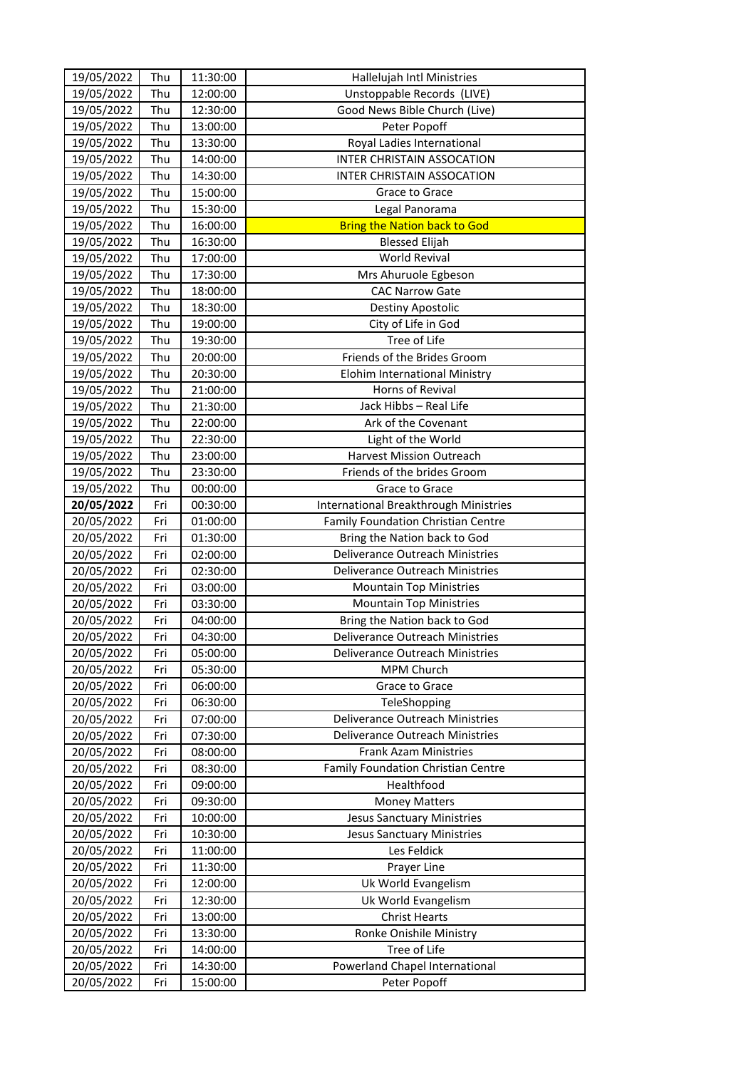| 19/05/2022<br>Thu<br>12:00:00<br>Unstoppable Records (LIVE)<br>Thu<br>Good News Bible Church (Live)<br>19/05/2022<br>12:30:00<br>19/05/2022<br>Thu<br>13:00:00<br>Peter Popoff<br>Royal Ladies International<br>19/05/2022<br>Thu<br>13:30:00<br>Thu<br>19/05/2022<br>INTER CHRISTAIN ASSOCATION<br>14:00:00<br>INTER CHRISTAIN ASSOCATION<br>19/05/2022<br>Thu<br>14:30:00<br>19/05/2022<br>Thu<br>15:00:00<br>Grace to Grace<br>Thu<br>19/05/2022<br>15:30:00<br>Legal Panorama<br>Thu<br><b>Bring the Nation back to God</b><br>19/05/2022<br>16:00:00<br>19/05/2022<br>Thu<br>16:30:00<br><b>Blessed Elijah</b><br><b>World Revival</b><br>Thu<br>19/05/2022<br>17:00:00<br>19/05/2022<br>Thu<br>17:30:00<br>Mrs Ahuruole Egbeson<br>19/05/2022<br><b>CAC Narrow Gate</b><br>Thu<br>18:00:00<br>Thu<br>19/05/2022<br>18:30:00<br>Destiny Apostolic<br>City of Life in God<br>19/05/2022<br>Thu<br>19:00:00<br>Tree of Life<br>19/05/2022<br>Thu<br>19:30:00<br>19/05/2022<br>Thu<br>Friends of the Brides Groom<br>20:00:00<br>19/05/2022<br>Thu<br>20:30:00<br>Elohim International Ministry<br>19/05/2022<br>Thu<br>Horns of Revival<br>21:00:00<br>Thu<br>Jack Hibbs - Real Life<br>19/05/2022<br>21:30:00<br>Thu<br>19/05/2022<br>22:00:00<br>Ark of the Covenant<br>19/05/2022<br>Thu<br>22:30:00<br>Light of the World<br>19/05/2022<br>Thu<br>Harvest Mission Outreach<br>23:00:00<br>19/05/2022<br>Thu<br>23:30:00<br>Friends of the brides Groom<br>19/05/2022<br>Thu<br>Grace to Grace<br>00:00:00<br>20/05/2022<br>Fri<br>00:30:00<br>International Breakthrough Ministries<br>Family Foundation Christian Centre<br>20/05/2022<br>Fri<br>01:00:00<br>Bring the Nation back to God<br>20/05/2022<br>Fri<br>01:30:00<br>Deliverance Outreach Ministries<br>20/05/2022<br>Fri<br>02:00:00<br>20/05/2022<br>Deliverance Outreach Ministries<br>Fri<br>02:30:00<br>20/05/2022<br>Fri<br>03:00:00<br><b>Mountain Top Ministries</b><br>20/05/2022<br>03:30:00<br><b>Mountain Top Ministries</b><br>Fri<br>20/05/2022<br>Fri<br>Bring the Nation back to God<br>04:00:00<br>20/05/2022<br>Fri<br>Deliverance Outreach Ministries<br>04:30:00<br>20/05/2022<br>Deliverance Outreach Ministries<br>Fri<br>05:00:00<br>MPM Church<br>20/05/2022<br>Fri<br>05:30:00<br>20/05/2022<br>Grace to Grace<br>Fri<br>06:00:00<br>20/05/2022<br>Fri<br>06:30:00<br>TeleShopping<br>Deliverance Outreach Ministries<br>20/05/2022<br>07:00:00<br>Fri<br>20/05/2022<br>07:30:00<br>Deliverance Outreach Ministries<br>Fri<br>20/05/2022<br>08:00:00<br>Frank Azam Ministries<br>Fri<br>20/05/2022<br>Family Foundation Christian Centre<br>08:30:00<br>Fri<br>20/05/2022<br>Healthfood<br>Fri<br>09:00:00<br>20/05/2022<br>09:30:00<br><b>Money Matters</b><br>Fri<br>20/05/2022<br>Fri<br>10:00:00<br><b>Jesus Sanctuary Ministries</b><br>20/05/2022<br><b>Jesus Sanctuary Ministries</b><br>Fri<br>10:30:00<br>20/05/2022<br>Les Feldick<br>Fri<br>11:00:00<br>20/05/2022<br>Fri<br>11:30:00<br>Prayer Line<br>20/05/2022<br>12:00:00<br>Uk World Evangelism<br>Fri<br>20/05/2022<br>Fri<br>12:30:00<br>Uk World Evangelism<br>20/05/2022<br>13:00:00<br>Fri<br><b>Christ Hearts</b><br>20/05/2022<br>Fri<br>13:30:00<br>Ronke Onishile Ministry<br>20/05/2022<br>Tree of Life<br>Fri<br>14:00:00<br>20/05/2022<br>Powerland Chapel International<br>14:30:00<br>Fri<br>20/05/2022<br>15:00:00<br>Peter Popoff<br>Fri | 19/05/2022 | Thu | 11:30:00 | Hallelujah Intl Ministries |
|---------------------------------------------------------------------------------------------------------------------------------------------------------------------------------------------------------------------------------------------------------------------------------------------------------------------------------------------------------------------------------------------------------------------------------------------------------------------------------------------------------------------------------------------------------------------------------------------------------------------------------------------------------------------------------------------------------------------------------------------------------------------------------------------------------------------------------------------------------------------------------------------------------------------------------------------------------------------------------------------------------------------------------------------------------------------------------------------------------------------------------------------------------------------------------------------------------------------------------------------------------------------------------------------------------------------------------------------------------------------------------------------------------------------------------------------------------------------------------------------------------------------------------------------------------------------------------------------------------------------------------------------------------------------------------------------------------------------------------------------------------------------------------------------------------------------------------------------------------------------------------------------------------------------------------------------------------------------------------------------------------------------------------------------------------------------------------------------------------------------------------------------------------------------------------------------------------------------------------------------------------------------------------------------------------------------------------------------------------------------------------------------------------------------------------------------------------------------------------------------------------------------------------------------------------------------------------------------------------------------------------------------------------------------------------------------------------------------------------------------------------------------------------------------------------------------------------------------------------------------------------------------------------------------------------------------------------------------------------------------------------------------------------------------------------------------------------------------------------------------------------------------------------------------------------------------------------------------------------------------------------------------------------------------------------------------------------------------------------------------------------------------------------------------|------------|-----|----------|----------------------------|
|                                                                                                                                                                                                                                                                                                                                                                                                                                                                                                                                                                                                                                                                                                                                                                                                                                                                                                                                                                                                                                                                                                                                                                                                                                                                                                                                                                                                                                                                                                                                                                                                                                                                                                                                                                                                                                                                                                                                                                                                                                                                                                                                                                                                                                                                                                                                                                                                                                                                                                                                                                                                                                                                                                                                                                                                                                                                                                                                                                                                                                                                                                                                                                                                                                                                                                                                                                                                                     |            |     |          |                            |
|                                                                                                                                                                                                                                                                                                                                                                                                                                                                                                                                                                                                                                                                                                                                                                                                                                                                                                                                                                                                                                                                                                                                                                                                                                                                                                                                                                                                                                                                                                                                                                                                                                                                                                                                                                                                                                                                                                                                                                                                                                                                                                                                                                                                                                                                                                                                                                                                                                                                                                                                                                                                                                                                                                                                                                                                                                                                                                                                                                                                                                                                                                                                                                                                                                                                                                                                                                                                                     |            |     |          |                            |
|                                                                                                                                                                                                                                                                                                                                                                                                                                                                                                                                                                                                                                                                                                                                                                                                                                                                                                                                                                                                                                                                                                                                                                                                                                                                                                                                                                                                                                                                                                                                                                                                                                                                                                                                                                                                                                                                                                                                                                                                                                                                                                                                                                                                                                                                                                                                                                                                                                                                                                                                                                                                                                                                                                                                                                                                                                                                                                                                                                                                                                                                                                                                                                                                                                                                                                                                                                                                                     |            |     |          |                            |
|                                                                                                                                                                                                                                                                                                                                                                                                                                                                                                                                                                                                                                                                                                                                                                                                                                                                                                                                                                                                                                                                                                                                                                                                                                                                                                                                                                                                                                                                                                                                                                                                                                                                                                                                                                                                                                                                                                                                                                                                                                                                                                                                                                                                                                                                                                                                                                                                                                                                                                                                                                                                                                                                                                                                                                                                                                                                                                                                                                                                                                                                                                                                                                                                                                                                                                                                                                                                                     |            |     |          |                            |
|                                                                                                                                                                                                                                                                                                                                                                                                                                                                                                                                                                                                                                                                                                                                                                                                                                                                                                                                                                                                                                                                                                                                                                                                                                                                                                                                                                                                                                                                                                                                                                                                                                                                                                                                                                                                                                                                                                                                                                                                                                                                                                                                                                                                                                                                                                                                                                                                                                                                                                                                                                                                                                                                                                                                                                                                                                                                                                                                                                                                                                                                                                                                                                                                                                                                                                                                                                                                                     |            |     |          |                            |
|                                                                                                                                                                                                                                                                                                                                                                                                                                                                                                                                                                                                                                                                                                                                                                                                                                                                                                                                                                                                                                                                                                                                                                                                                                                                                                                                                                                                                                                                                                                                                                                                                                                                                                                                                                                                                                                                                                                                                                                                                                                                                                                                                                                                                                                                                                                                                                                                                                                                                                                                                                                                                                                                                                                                                                                                                                                                                                                                                                                                                                                                                                                                                                                                                                                                                                                                                                                                                     |            |     |          |                            |
|                                                                                                                                                                                                                                                                                                                                                                                                                                                                                                                                                                                                                                                                                                                                                                                                                                                                                                                                                                                                                                                                                                                                                                                                                                                                                                                                                                                                                                                                                                                                                                                                                                                                                                                                                                                                                                                                                                                                                                                                                                                                                                                                                                                                                                                                                                                                                                                                                                                                                                                                                                                                                                                                                                                                                                                                                                                                                                                                                                                                                                                                                                                                                                                                                                                                                                                                                                                                                     |            |     |          |                            |
|                                                                                                                                                                                                                                                                                                                                                                                                                                                                                                                                                                                                                                                                                                                                                                                                                                                                                                                                                                                                                                                                                                                                                                                                                                                                                                                                                                                                                                                                                                                                                                                                                                                                                                                                                                                                                                                                                                                                                                                                                                                                                                                                                                                                                                                                                                                                                                                                                                                                                                                                                                                                                                                                                                                                                                                                                                                                                                                                                                                                                                                                                                                                                                                                                                                                                                                                                                                                                     |            |     |          |                            |
|                                                                                                                                                                                                                                                                                                                                                                                                                                                                                                                                                                                                                                                                                                                                                                                                                                                                                                                                                                                                                                                                                                                                                                                                                                                                                                                                                                                                                                                                                                                                                                                                                                                                                                                                                                                                                                                                                                                                                                                                                                                                                                                                                                                                                                                                                                                                                                                                                                                                                                                                                                                                                                                                                                                                                                                                                                                                                                                                                                                                                                                                                                                                                                                                                                                                                                                                                                                                                     |            |     |          |                            |
|                                                                                                                                                                                                                                                                                                                                                                                                                                                                                                                                                                                                                                                                                                                                                                                                                                                                                                                                                                                                                                                                                                                                                                                                                                                                                                                                                                                                                                                                                                                                                                                                                                                                                                                                                                                                                                                                                                                                                                                                                                                                                                                                                                                                                                                                                                                                                                                                                                                                                                                                                                                                                                                                                                                                                                                                                                                                                                                                                                                                                                                                                                                                                                                                                                                                                                                                                                                                                     |            |     |          |                            |
|                                                                                                                                                                                                                                                                                                                                                                                                                                                                                                                                                                                                                                                                                                                                                                                                                                                                                                                                                                                                                                                                                                                                                                                                                                                                                                                                                                                                                                                                                                                                                                                                                                                                                                                                                                                                                                                                                                                                                                                                                                                                                                                                                                                                                                                                                                                                                                                                                                                                                                                                                                                                                                                                                                                                                                                                                                                                                                                                                                                                                                                                                                                                                                                                                                                                                                                                                                                                                     |            |     |          |                            |
|                                                                                                                                                                                                                                                                                                                                                                                                                                                                                                                                                                                                                                                                                                                                                                                                                                                                                                                                                                                                                                                                                                                                                                                                                                                                                                                                                                                                                                                                                                                                                                                                                                                                                                                                                                                                                                                                                                                                                                                                                                                                                                                                                                                                                                                                                                                                                                                                                                                                                                                                                                                                                                                                                                                                                                                                                                                                                                                                                                                                                                                                                                                                                                                                                                                                                                                                                                                                                     |            |     |          |                            |
|                                                                                                                                                                                                                                                                                                                                                                                                                                                                                                                                                                                                                                                                                                                                                                                                                                                                                                                                                                                                                                                                                                                                                                                                                                                                                                                                                                                                                                                                                                                                                                                                                                                                                                                                                                                                                                                                                                                                                                                                                                                                                                                                                                                                                                                                                                                                                                                                                                                                                                                                                                                                                                                                                                                                                                                                                                                                                                                                                                                                                                                                                                                                                                                                                                                                                                                                                                                                                     |            |     |          |                            |
|                                                                                                                                                                                                                                                                                                                                                                                                                                                                                                                                                                                                                                                                                                                                                                                                                                                                                                                                                                                                                                                                                                                                                                                                                                                                                                                                                                                                                                                                                                                                                                                                                                                                                                                                                                                                                                                                                                                                                                                                                                                                                                                                                                                                                                                                                                                                                                                                                                                                                                                                                                                                                                                                                                                                                                                                                                                                                                                                                                                                                                                                                                                                                                                                                                                                                                                                                                                                                     |            |     |          |                            |
|                                                                                                                                                                                                                                                                                                                                                                                                                                                                                                                                                                                                                                                                                                                                                                                                                                                                                                                                                                                                                                                                                                                                                                                                                                                                                                                                                                                                                                                                                                                                                                                                                                                                                                                                                                                                                                                                                                                                                                                                                                                                                                                                                                                                                                                                                                                                                                                                                                                                                                                                                                                                                                                                                                                                                                                                                                                                                                                                                                                                                                                                                                                                                                                                                                                                                                                                                                                                                     |            |     |          |                            |
|                                                                                                                                                                                                                                                                                                                                                                                                                                                                                                                                                                                                                                                                                                                                                                                                                                                                                                                                                                                                                                                                                                                                                                                                                                                                                                                                                                                                                                                                                                                                                                                                                                                                                                                                                                                                                                                                                                                                                                                                                                                                                                                                                                                                                                                                                                                                                                                                                                                                                                                                                                                                                                                                                                                                                                                                                                                                                                                                                                                                                                                                                                                                                                                                                                                                                                                                                                                                                     |            |     |          |                            |
|                                                                                                                                                                                                                                                                                                                                                                                                                                                                                                                                                                                                                                                                                                                                                                                                                                                                                                                                                                                                                                                                                                                                                                                                                                                                                                                                                                                                                                                                                                                                                                                                                                                                                                                                                                                                                                                                                                                                                                                                                                                                                                                                                                                                                                                                                                                                                                                                                                                                                                                                                                                                                                                                                                                                                                                                                                                                                                                                                                                                                                                                                                                                                                                                                                                                                                                                                                                                                     |            |     |          |                            |
|                                                                                                                                                                                                                                                                                                                                                                                                                                                                                                                                                                                                                                                                                                                                                                                                                                                                                                                                                                                                                                                                                                                                                                                                                                                                                                                                                                                                                                                                                                                                                                                                                                                                                                                                                                                                                                                                                                                                                                                                                                                                                                                                                                                                                                                                                                                                                                                                                                                                                                                                                                                                                                                                                                                                                                                                                                                                                                                                                                                                                                                                                                                                                                                                                                                                                                                                                                                                                     |            |     |          |                            |
|                                                                                                                                                                                                                                                                                                                                                                                                                                                                                                                                                                                                                                                                                                                                                                                                                                                                                                                                                                                                                                                                                                                                                                                                                                                                                                                                                                                                                                                                                                                                                                                                                                                                                                                                                                                                                                                                                                                                                                                                                                                                                                                                                                                                                                                                                                                                                                                                                                                                                                                                                                                                                                                                                                                                                                                                                                                                                                                                                                                                                                                                                                                                                                                                                                                                                                                                                                                                                     |            |     |          |                            |
|                                                                                                                                                                                                                                                                                                                                                                                                                                                                                                                                                                                                                                                                                                                                                                                                                                                                                                                                                                                                                                                                                                                                                                                                                                                                                                                                                                                                                                                                                                                                                                                                                                                                                                                                                                                                                                                                                                                                                                                                                                                                                                                                                                                                                                                                                                                                                                                                                                                                                                                                                                                                                                                                                                                                                                                                                                                                                                                                                                                                                                                                                                                                                                                                                                                                                                                                                                                                                     |            |     |          |                            |
|                                                                                                                                                                                                                                                                                                                                                                                                                                                                                                                                                                                                                                                                                                                                                                                                                                                                                                                                                                                                                                                                                                                                                                                                                                                                                                                                                                                                                                                                                                                                                                                                                                                                                                                                                                                                                                                                                                                                                                                                                                                                                                                                                                                                                                                                                                                                                                                                                                                                                                                                                                                                                                                                                                                                                                                                                                                                                                                                                                                                                                                                                                                                                                                                                                                                                                                                                                                                                     |            |     |          |                            |
|                                                                                                                                                                                                                                                                                                                                                                                                                                                                                                                                                                                                                                                                                                                                                                                                                                                                                                                                                                                                                                                                                                                                                                                                                                                                                                                                                                                                                                                                                                                                                                                                                                                                                                                                                                                                                                                                                                                                                                                                                                                                                                                                                                                                                                                                                                                                                                                                                                                                                                                                                                                                                                                                                                                                                                                                                                                                                                                                                                                                                                                                                                                                                                                                                                                                                                                                                                                                                     |            |     |          |                            |
|                                                                                                                                                                                                                                                                                                                                                                                                                                                                                                                                                                                                                                                                                                                                                                                                                                                                                                                                                                                                                                                                                                                                                                                                                                                                                                                                                                                                                                                                                                                                                                                                                                                                                                                                                                                                                                                                                                                                                                                                                                                                                                                                                                                                                                                                                                                                                                                                                                                                                                                                                                                                                                                                                                                                                                                                                                                                                                                                                                                                                                                                                                                                                                                                                                                                                                                                                                                                                     |            |     |          |                            |
|                                                                                                                                                                                                                                                                                                                                                                                                                                                                                                                                                                                                                                                                                                                                                                                                                                                                                                                                                                                                                                                                                                                                                                                                                                                                                                                                                                                                                                                                                                                                                                                                                                                                                                                                                                                                                                                                                                                                                                                                                                                                                                                                                                                                                                                                                                                                                                                                                                                                                                                                                                                                                                                                                                                                                                                                                                                                                                                                                                                                                                                                                                                                                                                                                                                                                                                                                                                                                     |            |     |          |                            |
|                                                                                                                                                                                                                                                                                                                                                                                                                                                                                                                                                                                                                                                                                                                                                                                                                                                                                                                                                                                                                                                                                                                                                                                                                                                                                                                                                                                                                                                                                                                                                                                                                                                                                                                                                                                                                                                                                                                                                                                                                                                                                                                                                                                                                                                                                                                                                                                                                                                                                                                                                                                                                                                                                                                                                                                                                                                                                                                                                                                                                                                                                                                                                                                                                                                                                                                                                                                                                     |            |     |          |                            |
|                                                                                                                                                                                                                                                                                                                                                                                                                                                                                                                                                                                                                                                                                                                                                                                                                                                                                                                                                                                                                                                                                                                                                                                                                                                                                                                                                                                                                                                                                                                                                                                                                                                                                                                                                                                                                                                                                                                                                                                                                                                                                                                                                                                                                                                                                                                                                                                                                                                                                                                                                                                                                                                                                                                                                                                                                                                                                                                                                                                                                                                                                                                                                                                                                                                                                                                                                                                                                     |            |     |          |                            |
|                                                                                                                                                                                                                                                                                                                                                                                                                                                                                                                                                                                                                                                                                                                                                                                                                                                                                                                                                                                                                                                                                                                                                                                                                                                                                                                                                                                                                                                                                                                                                                                                                                                                                                                                                                                                                                                                                                                                                                                                                                                                                                                                                                                                                                                                                                                                                                                                                                                                                                                                                                                                                                                                                                                                                                                                                                                                                                                                                                                                                                                                                                                                                                                                                                                                                                                                                                                                                     |            |     |          |                            |
|                                                                                                                                                                                                                                                                                                                                                                                                                                                                                                                                                                                                                                                                                                                                                                                                                                                                                                                                                                                                                                                                                                                                                                                                                                                                                                                                                                                                                                                                                                                                                                                                                                                                                                                                                                                                                                                                                                                                                                                                                                                                                                                                                                                                                                                                                                                                                                                                                                                                                                                                                                                                                                                                                                                                                                                                                                                                                                                                                                                                                                                                                                                                                                                                                                                                                                                                                                                                                     |            |     |          |                            |
|                                                                                                                                                                                                                                                                                                                                                                                                                                                                                                                                                                                                                                                                                                                                                                                                                                                                                                                                                                                                                                                                                                                                                                                                                                                                                                                                                                                                                                                                                                                                                                                                                                                                                                                                                                                                                                                                                                                                                                                                                                                                                                                                                                                                                                                                                                                                                                                                                                                                                                                                                                                                                                                                                                                                                                                                                                                                                                                                                                                                                                                                                                                                                                                                                                                                                                                                                                                                                     |            |     |          |                            |
|                                                                                                                                                                                                                                                                                                                                                                                                                                                                                                                                                                                                                                                                                                                                                                                                                                                                                                                                                                                                                                                                                                                                                                                                                                                                                                                                                                                                                                                                                                                                                                                                                                                                                                                                                                                                                                                                                                                                                                                                                                                                                                                                                                                                                                                                                                                                                                                                                                                                                                                                                                                                                                                                                                                                                                                                                                                                                                                                                                                                                                                                                                                                                                                                                                                                                                                                                                                                                     |            |     |          |                            |
|                                                                                                                                                                                                                                                                                                                                                                                                                                                                                                                                                                                                                                                                                                                                                                                                                                                                                                                                                                                                                                                                                                                                                                                                                                                                                                                                                                                                                                                                                                                                                                                                                                                                                                                                                                                                                                                                                                                                                                                                                                                                                                                                                                                                                                                                                                                                                                                                                                                                                                                                                                                                                                                                                                                                                                                                                                                                                                                                                                                                                                                                                                                                                                                                                                                                                                                                                                                                                     |            |     |          |                            |
|                                                                                                                                                                                                                                                                                                                                                                                                                                                                                                                                                                                                                                                                                                                                                                                                                                                                                                                                                                                                                                                                                                                                                                                                                                                                                                                                                                                                                                                                                                                                                                                                                                                                                                                                                                                                                                                                                                                                                                                                                                                                                                                                                                                                                                                                                                                                                                                                                                                                                                                                                                                                                                                                                                                                                                                                                                                                                                                                                                                                                                                                                                                                                                                                                                                                                                                                                                                                                     |            |     |          |                            |
|                                                                                                                                                                                                                                                                                                                                                                                                                                                                                                                                                                                                                                                                                                                                                                                                                                                                                                                                                                                                                                                                                                                                                                                                                                                                                                                                                                                                                                                                                                                                                                                                                                                                                                                                                                                                                                                                                                                                                                                                                                                                                                                                                                                                                                                                                                                                                                                                                                                                                                                                                                                                                                                                                                                                                                                                                                                                                                                                                                                                                                                                                                                                                                                                                                                                                                                                                                                                                     |            |     |          |                            |
|                                                                                                                                                                                                                                                                                                                                                                                                                                                                                                                                                                                                                                                                                                                                                                                                                                                                                                                                                                                                                                                                                                                                                                                                                                                                                                                                                                                                                                                                                                                                                                                                                                                                                                                                                                                                                                                                                                                                                                                                                                                                                                                                                                                                                                                                                                                                                                                                                                                                                                                                                                                                                                                                                                                                                                                                                                                                                                                                                                                                                                                                                                                                                                                                                                                                                                                                                                                                                     |            |     |          |                            |
|                                                                                                                                                                                                                                                                                                                                                                                                                                                                                                                                                                                                                                                                                                                                                                                                                                                                                                                                                                                                                                                                                                                                                                                                                                                                                                                                                                                                                                                                                                                                                                                                                                                                                                                                                                                                                                                                                                                                                                                                                                                                                                                                                                                                                                                                                                                                                                                                                                                                                                                                                                                                                                                                                                                                                                                                                                                                                                                                                                                                                                                                                                                                                                                                                                                                                                                                                                                                                     |            |     |          |                            |
|                                                                                                                                                                                                                                                                                                                                                                                                                                                                                                                                                                                                                                                                                                                                                                                                                                                                                                                                                                                                                                                                                                                                                                                                                                                                                                                                                                                                                                                                                                                                                                                                                                                                                                                                                                                                                                                                                                                                                                                                                                                                                                                                                                                                                                                                                                                                                                                                                                                                                                                                                                                                                                                                                                                                                                                                                                                                                                                                                                                                                                                                                                                                                                                                                                                                                                                                                                                                                     |            |     |          |                            |
|                                                                                                                                                                                                                                                                                                                                                                                                                                                                                                                                                                                                                                                                                                                                                                                                                                                                                                                                                                                                                                                                                                                                                                                                                                                                                                                                                                                                                                                                                                                                                                                                                                                                                                                                                                                                                                                                                                                                                                                                                                                                                                                                                                                                                                                                                                                                                                                                                                                                                                                                                                                                                                                                                                                                                                                                                                                                                                                                                                                                                                                                                                                                                                                                                                                                                                                                                                                                                     |            |     |          |                            |
|                                                                                                                                                                                                                                                                                                                                                                                                                                                                                                                                                                                                                                                                                                                                                                                                                                                                                                                                                                                                                                                                                                                                                                                                                                                                                                                                                                                                                                                                                                                                                                                                                                                                                                                                                                                                                                                                                                                                                                                                                                                                                                                                                                                                                                                                                                                                                                                                                                                                                                                                                                                                                                                                                                                                                                                                                                                                                                                                                                                                                                                                                                                                                                                                                                                                                                                                                                                                                     |            |     |          |                            |
|                                                                                                                                                                                                                                                                                                                                                                                                                                                                                                                                                                                                                                                                                                                                                                                                                                                                                                                                                                                                                                                                                                                                                                                                                                                                                                                                                                                                                                                                                                                                                                                                                                                                                                                                                                                                                                                                                                                                                                                                                                                                                                                                                                                                                                                                                                                                                                                                                                                                                                                                                                                                                                                                                                                                                                                                                                                                                                                                                                                                                                                                                                                                                                                                                                                                                                                                                                                                                     |            |     |          |                            |
|                                                                                                                                                                                                                                                                                                                                                                                                                                                                                                                                                                                                                                                                                                                                                                                                                                                                                                                                                                                                                                                                                                                                                                                                                                                                                                                                                                                                                                                                                                                                                                                                                                                                                                                                                                                                                                                                                                                                                                                                                                                                                                                                                                                                                                                                                                                                                                                                                                                                                                                                                                                                                                                                                                                                                                                                                                                                                                                                                                                                                                                                                                                                                                                                                                                                                                                                                                                                                     |            |     |          |                            |
|                                                                                                                                                                                                                                                                                                                                                                                                                                                                                                                                                                                                                                                                                                                                                                                                                                                                                                                                                                                                                                                                                                                                                                                                                                                                                                                                                                                                                                                                                                                                                                                                                                                                                                                                                                                                                                                                                                                                                                                                                                                                                                                                                                                                                                                                                                                                                                                                                                                                                                                                                                                                                                                                                                                                                                                                                                                                                                                                                                                                                                                                                                                                                                                                                                                                                                                                                                                                                     |            |     |          |                            |
|                                                                                                                                                                                                                                                                                                                                                                                                                                                                                                                                                                                                                                                                                                                                                                                                                                                                                                                                                                                                                                                                                                                                                                                                                                                                                                                                                                                                                                                                                                                                                                                                                                                                                                                                                                                                                                                                                                                                                                                                                                                                                                                                                                                                                                                                                                                                                                                                                                                                                                                                                                                                                                                                                                                                                                                                                                                                                                                                                                                                                                                                                                                                                                                                                                                                                                                                                                                                                     |            |     |          |                            |
|                                                                                                                                                                                                                                                                                                                                                                                                                                                                                                                                                                                                                                                                                                                                                                                                                                                                                                                                                                                                                                                                                                                                                                                                                                                                                                                                                                                                                                                                                                                                                                                                                                                                                                                                                                                                                                                                                                                                                                                                                                                                                                                                                                                                                                                                                                                                                                                                                                                                                                                                                                                                                                                                                                                                                                                                                                                                                                                                                                                                                                                                                                                                                                                                                                                                                                                                                                                                                     |            |     |          |                            |
|                                                                                                                                                                                                                                                                                                                                                                                                                                                                                                                                                                                                                                                                                                                                                                                                                                                                                                                                                                                                                                                                                                                                                                                                                                                                                                                                                                                                                                                                                                                                                                                                                                                                                                                                                                                                                                                                                                                                                                                                                                                                                                                                                                                                                                                                                                                                                                                                                                                                                                                                                                                                                                                                                                                                                                                                                                                                                                                                                                                                                                                                                                                                                                                                                                                                                                                                                                                                                     |            |     |          |                            |
|                                                                                                                                                                                                                                                                                                                                                                                                                                                                                                                                                                                                                                                                                                                                                                                                                                                                                                                                                                                                                                                                                                                                                                                                                                                                                                                                                                                                                                                                                                                                                                                                                                                                                                                                                                                                                                                                                                                                                                                                                                                                                                                                                                                                                                                                                                                                                                                                                                                                                                                                                                                                                                                                                                                                                                                                                                                                                                                                                                                                                                                                                                                                                                                                                                                                                                                                                                                                                     |            |     |          |                            |
|                                                                                                                                                                                                                                                                                                                                                                                                                                                                                                                                                                                                                                                                                                                                                                                                                                                                                                                                                                                                                                                                                                                                                                                                                                                                                                                                                                                                                                                                                                                                                                                                                                                                                                                                                                                                                                                                                                                                                                                                                                                                                                                                                                                                                                                                                                                                                                                                                                                                                                                                                                                                                                                                                                                                                                                                                                                                                                                                                                                                                                                                                                                                                                                                                                                                                                                                                                                                                     |            |     |          |                            |
|                                                                                                                                                                                                                                                                                                                                                                                                                                                                                                                                                                                                                                                                                                                                                                                                                                                                                                                                                                                                                                                                                                                                                                                                                                                                                                                                                                                                                                                                                                                                                                                                                                                                                                                                                                                                                                                                                                                                                                                                                                                                                                                                                                                                                                                                                                                                                                                                                                                                                                                                                                                                                                                                                                                                                                                                                                                                                                                                                                                                                                                                                                                                                                                                                                                                                                                                                                                                                     |            |     |          |                            |
|                                                                                                                                                                                                                                                                                                                                                                                                                                                                                                                                                                                                                                                                                                                                                                                                                                                                                                                                                                                                                                                                                                                                                                                                                                                                                                                                                                                                                                                                                                                                                                                                                                                                                                                                                                                                                                                                                                                                                                                                                                                                                                                                                                                                                                                                                                                                                                                                                                                                                                                                                                                                                                                                                                                                                                                                                                                                                                                                                                                                                                                                                                                                                                                                                                                                                                                                                                                                                     |            |     |          |                            |
|                                                                                                                                                                                                                                                                                                                                                                                                                                                                                                                                                                                                                                                                                                                                                                                                                                                                                                                                                                                                                                                                                                                                                                                                                                                                                                                                                                                                                                                                                                                                                                                                                                                                                                                                                                                                                                                                                                                                                                                                                                                                                                                                                                                                                                                                                                                                                                                                                                                                                                                                                                                                                                                                                                                                                                                                                                                                                                                                                                                                                                                                                                                                                                                                                                                                                                                                                                                                                     |            |     |          |                            |
|                                                                                                                                                                                                                                                                                                                                                                                                                                                                                                                                                                                                                                                                                                                                                                                                                                                                                                                                                                                                                                                                                                                                                                                                                                                                                                                                                                                                                                                                                                                                                                                                                                                                                                                                                                                                                                                                                                                                                                                                                                                                                                                                                                                                                                                                                                                                                                                                                                                                                                                                                                                                                                                                                                                                                                                                                                                                                                                                                                                                                                                                                                                                                                                                                                                                                                                                                                                                                     |            |     |          |                            |
|                                                                                                                                                                                                                                                                                                                                                                                                                                                                                                                                                                                                                                                                                                                                                                                                                                                                                                                                                                                                                                                                                                                                                                                                                                                                                                                                                                                                                                                                                                                                                                                                                                                                                                                                                                                                                                                                                                                                                                                                                                                                                                                                                                                                                                                                                                                                                                                                                                                                                                                                                                                                                                                                                                                                                                                                                                                                                                                                                                                                                                                                                                                                                                                                                                                                                                                                                                                                                     |            |     |          |                            |
|                                                                                                                                                                                                                                                                                                                                                                                                                                                                                                                                                                                                                                                                                                                                                                                                                                                                                                                                                                                                                                                                                                                                                                                                                                                                                                                                                                                                                                                                                                                                                                                                                                                                                                                                                                                                                                                                                                                                                                                                                                                                                                                                                                                                                                                                                                                                                                                                                                                                                                                                                                                                                                                                                                                                                                                                                                                                                                                                                                                                                                                                                                                                                                                                                                                                                                                                                                                                                     |            |     |          |                            |
|                                                                                                                                                                                                                                                                                                                                                                                                                                                                                                                                                                                                                                                                                                                                                                                                                                                                                                                                                                                                                                                                                                                                                                                                                                                                                                                                                                                                                                                                                                                                                                                                                                                                                                                                                                                                                                                                                                                                                                                                                                                                                                                                                                                                                                                                                                                                                                                                                                                                                                                                                                                                                                                                                                                                                                                                                                                                                                                                                                                                                                                                                                                                                                                                                                                                                                                                                                                                                     |            |     |          |                            |
|                                                                                                                                                                                                                                                                                                                                                                                                                                                                                                                                                                                                                                                                                                                                                                                                                                                                                                                                                                                                                                                                                                                                                                                                                                                                                                                                                                                                                                                                                                                                                                                                                                                                                                                                                                                                                                                                                                                                                                                                                                                                                                                                                                                                                                                                                                                                                                                                                                                                                                                                                                                                                                                                                                                                                                                                                                                                                                                                                                                                                                                                                                                                                                                                                                                                                                                                                                                                                     |            |     |          |                            |
|                                                                                                                                                                                                                                                                                                                                                                                                                                                                                                                                                                                                                                                                                                                                                                                                                                                                                                                                                                                                                                                                                                                                                                                                                                                                                                                                                                                                                                                                                                                                                                                                                                                                                                                                                                                                                                                                                                                                                                                                                                                                                                                                                                                                                                                                                                                                                                                                                                                                                                                                                                                                                                                                                                                                                                                                                                                                                                                                                                                                                                                                                                                                                                                                                                                                                                                                                                                                                     |            |     |          |                            |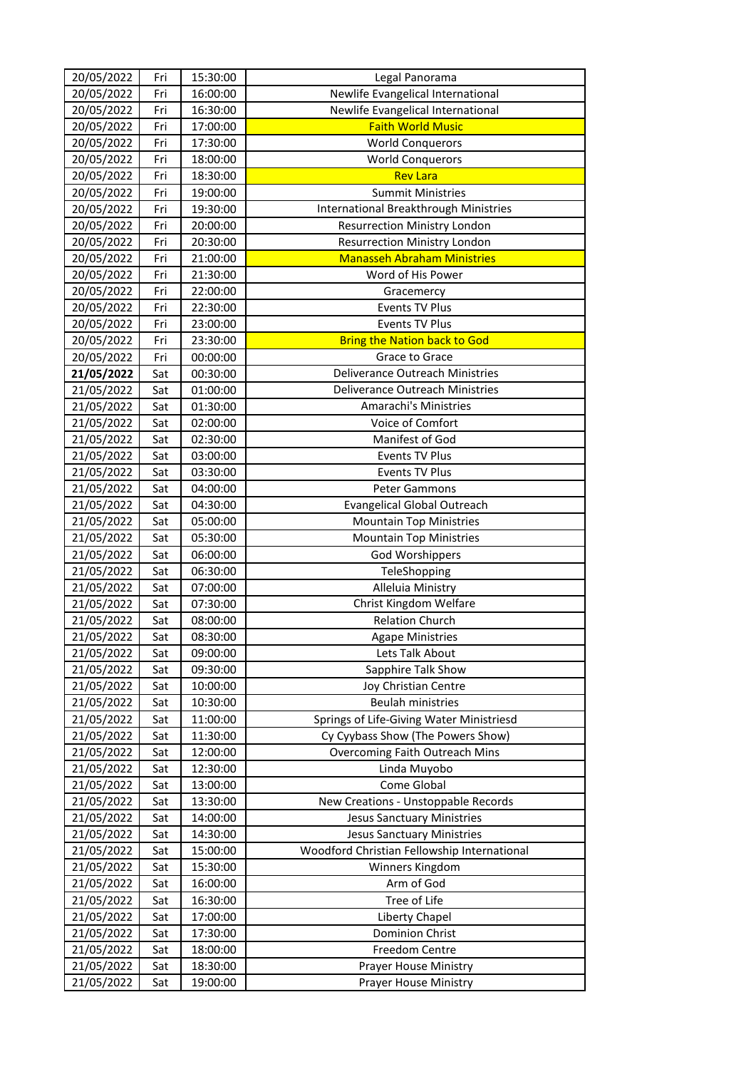| 20/05/2022 | Fri | 15:30:00 | Legal Panorama                              |
|------------|-----|----------|---------------------------------------------|
| 20/05/2022 | Fri | 16:00:00 | Newlife Evangelical International           |
| 20/05/2022 | Fri | 16:30:00 | Newlife Evangelical International           |
| 20/05/2022 | Fri | 17:00:00 | <b>Faith World Music</b>                    |
| 20/05/2022 | Fri | 17:30:00 | <b>World Conquerors</b>                     |
| 20/05/2022 | Fri | 18:00:00 | <b>World Conquerors</b>                     |
| 20/05/2022 | Fri | 18:30:00 | <b>Rev Lara</b>                             |
| 20/05/2022 | Fri | 19:00:00 | <b>Summit Ministries</b>                    |
| 20/05/2022 | Fri | 19:30:00 | International Breakthrough Ministries       |
| 20/05/2022 | Fri | 20:00:00 | <b>Resurrection Ministry London</b>         |
| 20/05/2022 | Fri | 20:30:00 | <b>Resurrection Ministry London</b>         |
| 20/05/2022 | Fri | 21:00:00 | <b>Manasseh Abraham Ministries</b>          |
| 20/05/2022 | Fri | 21:30:00 | Word of His Power                           |
| 20/05/2022 | Fri | 22:00:00 | Gracemercy                                  |
| 20/05/2022 | Fri | 22:30:00 | <b>Events TV Plus</b>                       |
| 20/05/2022 | Fri | 23:00:00 | <b>Events TV Plus</b>                       |
| 20/05/2022 | Fri | 23:30:00 | <b>Bring the Nation back to God</b>         |
| 20/05/2022 | Fri | 00:00:00 | Grace to Grace                              |
| 21/05/2022 | Sat | 00:30:00 | Deliverance Outreach Ministries             |
| 21/05/2022 | Sat | 01:00:00 | Deliverance Outreach Ministries             |
| 21/05/2022 | Sat | 01:30:00 | <b>Amarachi's Ministries</b>                |
| 21/05/2022 | Sat | 02:00:00 | Voice of Comfort                            |
| 21/05/2022 | Sat | 02:30:00 | Manifest of God                             |
| 21/05/2022 | Sat | 03:00:00 | <b>Events TV Plus</b>                       |
| 21/05/2022 | Sat | 03:30:00 | <b>Events TV Plus</b>                       |
| 21/05/2022 | Sat | 04:00:00 | Peter Gammons                               |
| 21/05/2022 | Sat | 04:30:00 | <b>Evangelical Global Outreach</b>          |
| 21/05/2022 | Sat | 05:00:00 | <b>Mountain Top Ministries</b>              |
| 21/05/2022 | Sat | 05:30:00 | <b>Mountain Top Ministries</b>              |
| 21/05/2022 | Sat | 06:00:00 | <b>God Worshippers</b>                      |
| 21/05/2022 | Sat | 06:30:00 | TeleShopping                                |
| 21/05/2022 | Sat | 07:00:00 | Alleluia Ministry                           |
| 21/05/2022 | Sat | 07:30:00 | Christ Kingdom Welfare                      |
| 21/05/2022 | Sat | 08:00:00 | <b>Relation Church</b>                      |
| 21/05/2022 | Sat | 08:30:00 | <b>Agape Ministries</b>                     |
| 21/05/2022 | Sat | 09:00:00 | Lets Talk About                             |
| 21/05/2022 | Sat | 09:30:00 | Sapphire Talk Show                          |
| 21/05/2022 | Sat | 10:00:00 | Joy Christian Centre                        |
| 21/05/2022 | Sat | 10:30:00 | <b>Beulah ministries</b>                    |
| 21/05/2022 | Sat | 11:00:00 | Springs of Life-Giving Water Ministriesd    |
| 21/05/2022 | Sat | 11:30:00 | Cy Cyybass Show (The Powers Show)           |
| 21/05/2022 | Sat | 12:00:00 | Overcoming Faith Outreach Mins              |
| 21/05/2022 | Sat | 12:30:00 | Linda Muyobo                                |
| 21/05/2022 | Sat | 13:00:00 | Come Global                                 |
| 21/05/2022 | Sat | 13:30:00 | New Creations - Unstoppable Records         |
| 21/05/2022 | Sat | 14:00:00 | <b>Jesus Sanctuary Ministries</b>           |
| 21/05/2022 | Sat | 14:30:00 | <b>Jesus Sanctuary Ministries</b>           |
| 21/05/2022 | Sat | 15:00:00 | Woodford Christian Fellowship International |
| 21/05/2022 | Sat | 15:30:00 | Winners Kingdom                             |
| 21/05/2022 | Sat | 16:00:00 | Arm of God                                  |
| 21/05/2022 | Sat | 16:30:00 | Tree of Life                                |
| 21/05/2022 | Sat | 17:00:00 | Liberty Chapel                              |
| 21/05/2022 | Sat | 17:30:00 | <b>Dominion Christ</b>                      |
| 21/05/2022 | Sat | 18:00:00 | Freedom Centre                              |
| 21/05/2022 | Sat | 18:30:00 | Prayer House Ministry                       |
| 21/05/2022 | Sat | 19:00:00 | Prayer House Ministry                       |
|            |     |          |                                             |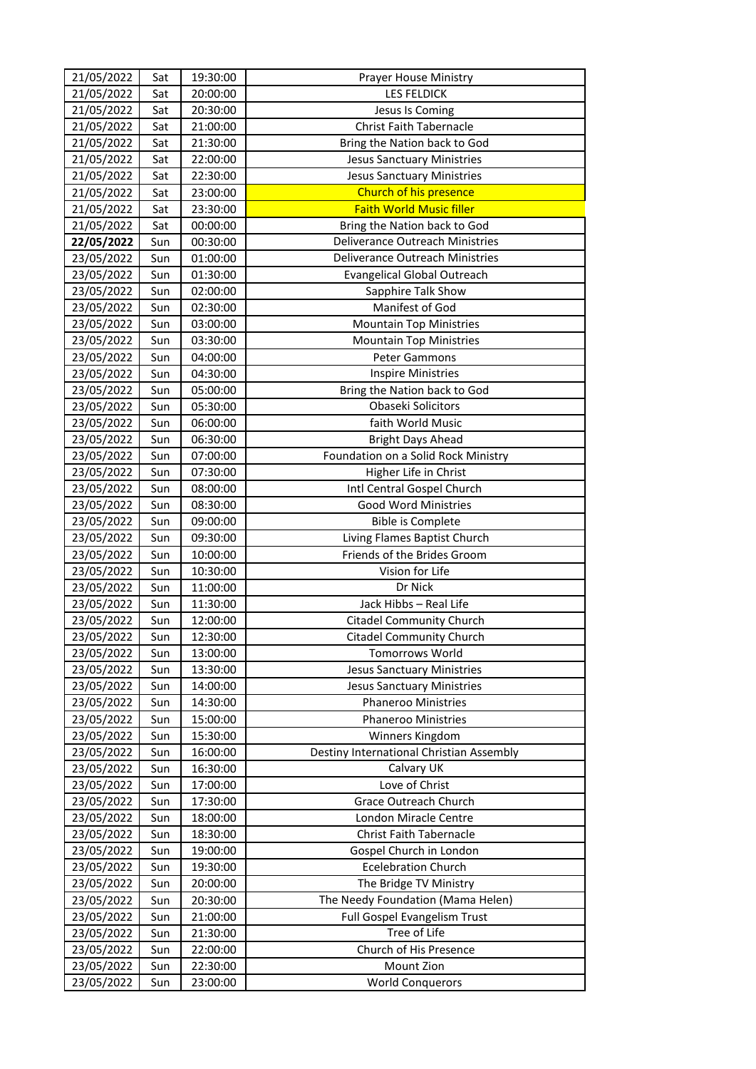| 21/05/2022 | Sat | 19:30:00 | Prayer House Ministry                    |
|------------|-----|----------|------------------------------------------|
| 21/05/2022 | Sat | 20:00:00 | <b>LES FELDICK</b>                       |
| 21/05/2022 | Sat | 20:30:00 | Jesus Is Coming                          |
| 21/05/2022 | Sat | 21:00:00 | <b>Christ Faith Tabernacle</b>           |
| 21/05/2022 | Sat | 21:30:00 | Bring the Nation back to God             |
| 21/05/2022 | Sat | 22:00:00 | <b>Jesus Sanctuary Ministries</b>        |
| 21/05/2022 | Sat | 22:30:00 | <b>Jesus Sanctuary Ministries</b>        |
| 21/05/2022 | Sat | 23:00:00 | Church of his presence                   |
| 21/05/2022 | Sat | 23:30:00 | <b>Faith World Music filler</b>          |
| 21/05/2022 | Sat | 00:00:00 | Bring the Nation back to God             |
| 22/05/2022 | Sun | 00:30:00 | Deliverance Outreach Ministries          |
| 23/05/2022 | Sun | 01:00:00 | Deliverance Outreach Ministries          |
| 23/05/2022 | Sun | 01:30:00 | <b>Evangelical Global Outreach</b>       |
| 23/05/2022 | Sun | 02:00:00 | Sapphire Talk Show                       |
| 23/05/2022 | Sun | 02:30:00 | Manifest of God                          |
| 23/05/2022 | Sun | 03:00:00 | <b>Mountain Top Ministries</b>           |
| 23/05/2022 | Sun | 03:30:00 | <b>Mountain Top Ministries</b>           |
| 23/05/2022 | Sun | 04:00:00 | <b>Peter Gammons</b>                     |
| 23/05/2022 | Sun | 04:30:00 | <b>Inspire Ministries</b>                |
| 23/05/2022 | Sun | 05:00:00 | Bring the Nation back to God             |
| 23/05/2022 | Sun | 05:30:00 | Obaseki Solicitors                       |
| 23/05/2022 | Sun | 06:00:00 | faith World Music                        |
| 23/05/2022 | Sun | 06:30:00 | <b>Bright Days Ahead</b>                 |
| 23/05/2022 | Sun | 07:00:00 | Foundation on a Solid Rock Ministry      |
| 23/05/2022 | Sun | 07:30:00 | Higher Life in Christ                    |
| 23/05/2022 | Sun | 08:00:00 | Intl Central Gospel Church               |
| 23/05/2022 | Sun | 08:30:00 | Good Word Ministries                     |
| 23/05/2022 | Sun | 09:00:00 | <b>Bible is Complete</b>                 |
| 23/05/2022 | Sun | 09:30:00 | Living Flames Baptist Church             |
| 23/05/2022 | Sun | 10:00:00 | Friends of the Brides Groom              |
| 23/05/2022 | Sun | 10:30:00 | Vision for Life                          |
| 23/05/2022 | Sun | 11:00:00 | Dr Nick                                  |
| 23/05/2022 | Sun | 11:30:00 | Jack Hibbs - Real Life                   |
| 23/05/2022 | Sun | 12:00:00 | <b>Citadel Community Church</b>          |
| 23/05/2022 | Sun | 12:30:00 | Citadel Community Church                 |
| 23/05/2022 | Sun | 13:00:00 | <b>Tomorrows World</b>                   |
| 23/05/2022 | Sun | 13:30:00 | <b>Jesus Sanctuary Ministries</b>        |
| 23/05/2022 | Sun | 14:00:00 | <b>Jesus Sanctuary Ministries</b>        |
| 23/05/2022 | Sun | 14:30:00 | <b>Phaneroo Ministries</b>               |
| 23/05/2022 | Sun | 15:00:00 | Phaneroo Ministries                      |
| 23/05/2022 | Sun | 15:30:00 | Winners Kingdom                          |
| 23/05/2022 | Sun | 16:00:00 | Destiny International Christian Assembly |
| 23/05/2022 | Sun | 16:30:00 | Calvary UK                               |
| 23/05/2022 | Sun | 17:00:00 | Love of Christ                           |
| 23/05/2022 | Sun | 17:30:00 | Grace Outreach Church                    |
| 23/05/2022 | Sun | 18:00:00 | London Miracle Centre                    |
| 23/05/2022 | Sun | 18:30:00 | Christ Faith Tabernacle                  |
| 23/05/2022 | Sun | 19:00:00 | Gospel Church in London                  |
| 23/05/2022 | Sun | 19:30:00 | <b>Ecelebration Church</b>               |
| 23/05/2022 | Sun | 20:00:00 | The Bridge TV Ministry                   |
| 23/05/2022 | Sun | 20:30:00 | The Needy Foundation (Mama Helen)        |
| 23/05/2022 | Sun | 21:00:00 | Full Gospel Evangelism Trust             |
| 23/05/2022 | Sun | 21:30:00 | Tree of Life                             |
| 23/05/2022 | Sun | 22:00:00 | Church of His Presence                   |
| 23/05/2022 | Sun | 22:30:00 | Mount Zion                               |
| 23/05/2022 | Sun | 23:00:00 | <b>World Conquerors</b>                  |